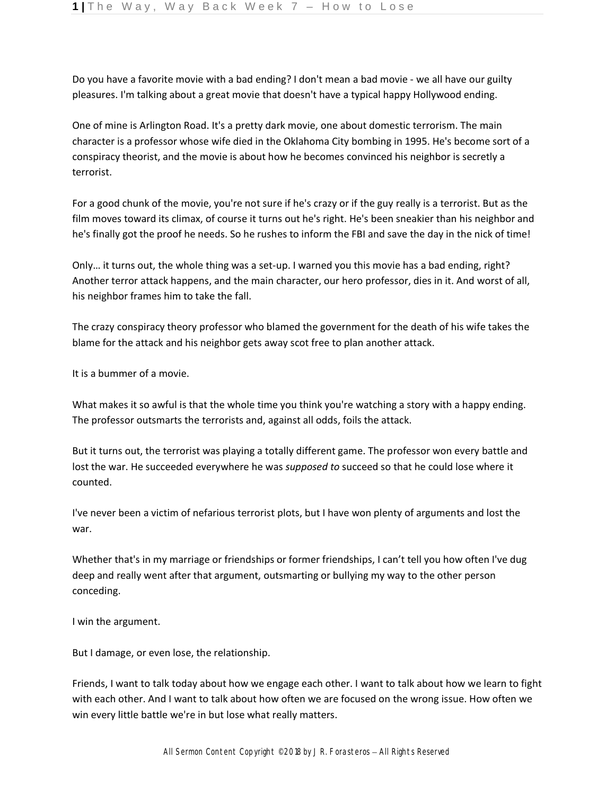Do you have a favorite movie with a bad ending? I don't mean a bad movie - we all have our guilty pleasures. I'm talking about a great movie that doesn't have a typical happy Hollywood ending.

One of mine is Arlington Road. It's a pretty dark movie, one about domestic terrorism. The main character is a professor whose wife died in the Oklahoma City bombing in 1995. He's become sort of a conspiracy theorist, and the movie is about how he becomes convinced his neighbor is secretly a terrorist.

For a good chunk of the movie, you're not sure if he's crazy or if the guy really is a terrorist. But as the film moves toward its climax, of course it turns out he's right. He's been sneakier than his neighbor and he's finally got the proof he needs. So he rushes to inform the FBI and save the day in the nick of time!

Only… it turns out, the whole thing was a set-up. I warned you this movie has a bad ending, right? Another terror attack happens, and the main character, our hero professor, dies in it. And worst of all, his neighbor frames him to take the fall.

The crazy conspiracy theory professor who blamed the government for the death of his wife takes the blame for the attack and his neighbor gets away scot free to plan another attack.

It is a bummer of a movie.

What makes it so awful is that the whole time you think you're watching a story with a happy ending. The professor outsmarts the terrorists and, against all odds, foils the attack.

But it turns out, the terrorist was playing a totally different game. The professor won every battle and lost the war. He succeeded everywhere he was *supposed to* succeed so that he could lose where it counted.

I've never been a victim of nefarious terrorist plots, but I have won plenty of arguments and lost the war.

Whether that's in my marriage or friendships or former friendships, I can't tell you how often I've dug deep and really went after that argument, outsmarting or bullying my way to the other person conceding.

I win the argument.

But I damage, or even lose, the relationship.

Friends, I want to talk today about how we engage each other. I want to talk about how we learn to fight with each other. And I want to talk about how often we are focused on the wrong issue. How often we win every little battle we're in but lose what really matters.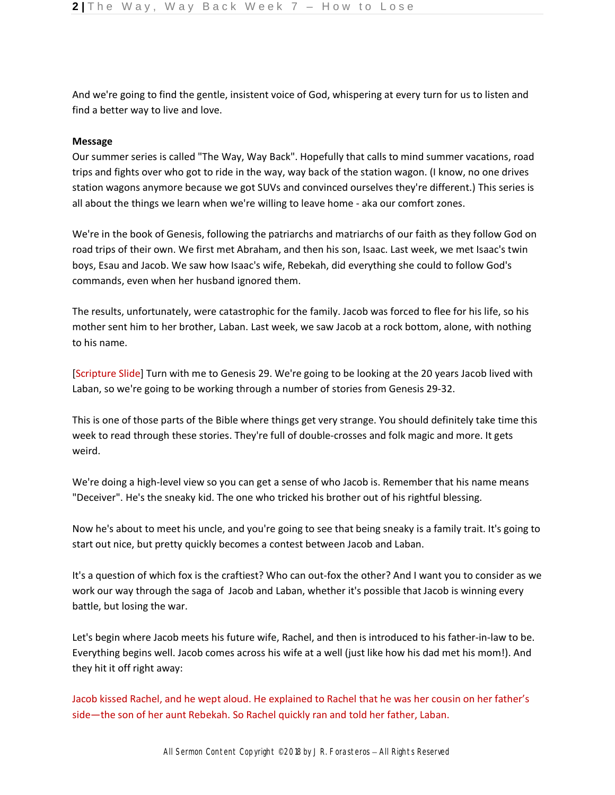And we're going to find the gentle, insistent voice of God, whispering at every turn for us to listen and find a better way to live and love.

## **Message**

Our summer series is called "The Way, Way Back". Hopefully that calls to mind summer vacations, road trips and fights over who got to ride in the way, way back of the station wagon. (I know, no one drives station wagons anymore because we got SUVs and convinced ourselves they're different.) This series is all about the things we learn when we're willing to leave home - aka our comfort zones.

We're in the book of Genesis, following the patriarchs and matriarchs of our faith as they follow God on road trips of their own. We first met Abraham, and then his son, Isaac. Last week, we met Isaac's twin boys, Esau and Jacob. We saw how Isaac's wife, Rebekah, did everything she could to follow God's commands, even when her husband ignored them.

The results, unfortunately, were catastrophic for the family. Jacob was forced to flee for his life, so his mother sent him to her brother, Laban. Last week, we saw Jacob at a rock bottom, alone, with nothing to his name.

[Scripture Slide] Turn with me to Genesis 29. We're going to be looking at the 20 years Jacob lived with Laban, so we're going to be working through a number of stories from Genesis 29-32.

This is one of those parts of the Bible where things get very strange. You should definitely take time this week to read through these stories. They're full of double-crosses and folk magic and more. It gets weird.

We're doing a high-level view so you can get a sense of who Jacob is. Remember that his name means "Deceiver". He's the sneaky kid. The one who tricked his brother out of his rightful blessing.

Now he's about to meet his uncle, and you're going to see that being sneaky is a family trait. It's going to start out nice, but pretty quickly becomes a contest between Jacob and Laban.

It's a question of which fox is the craftiest? Who can out-fox the other? And I want you to consider as we work our way through the saga of Jacob and Laban, whether it's possible that Jacob is winning every battle, but losing the war.

Let's begin where Jacob meets his future wife, Rachel, and then is introduced to his father-in-law to be. Everything begins well. Jacob comes across his wife at a well (just like how his dad met his mom!). And they hit it off right away:

Jacob kissed Rachel, and he wept aloud. He explained to Rachel that he was her cousin on her father's side—the son of her aunt Rebekah. So Rachel quickly ran and told her father, Laban.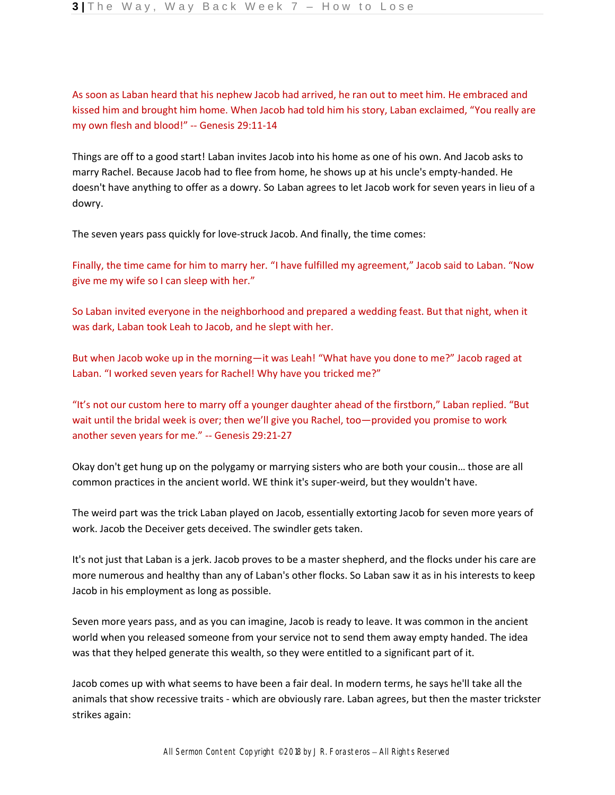As soon as Laban heard that his nephew Jacob had arrived, he ran out to meet him. He embraced and kissed him and brought him home. When Jacob had told him his story, Laban exclaimed, "You really are my own flesh and blood!" -- Genesis 29:11-14

Things are off to a good start! Laban invites Jacob into his home as one of his own. And Jacob asks to marry Rachel. Because Jacob had to flee from home, he shows up at his uncle's empty-handed. He doesn't have anything to offer as a dowry. So Laban agrees to let Jacob work for seven years in lieu of a dowry.

The seven years pass quickly for love-struck Jacob. And finally, the time comes:

Finally, the time came for him to marry her. "I have fulfilled my agreement," Jacob said to Laban. "Now give me my wife so I can sleep with her."

So Laban invited everyone in the neighborhood and prepared a wedding feast. But that night, when it was dark, Laban took Leah to Jacob, and he slept with her.

But when Jacob woke up in the morning—it was Leah! "What have you done to me?" Jacob raged at Laban. "I worked seven years for Rachel! Why have you tricked me?"

"It's not our custom here to marry off a younger daughter ahead of the firstborn," Laban replied. "But wait until the bridal week is over; then we'll give you Rachel, too—provided you promise to work another seven years for me." -- Genesis 29:21-27

Okay don't get hung up on the polygamy or marrying sisters who are both your cousin… those are all common practices in the ancient world. WE think it's super-weird, but they wouldn't have.

The weird part was the trick Laban played on Jacob, essentially extorting Jacob for seven more years of work. Jacob the Deceiver gets deceived. The swindler gets taken.

It's not just that Laban is a jerk. Jacob proves to be a master shepherd, and the flocks under his care are more numerous and healthy than any of Laban's other flocks. So Laban saw it as in his interests to keep Jacob in his employment as long as possible.

Seven more years pass, and as you can imagine, Jacob is ready to leave. It was common in the ancient world when you released someone from your service not to send them away empty handed. The idea was that they helped generate this wealth, so they were entitled to a significant part of it.

Jacob comes up with what seems to have been a fair deal. In modern terms, he says he'll take all the animals that show recessive traits - which are obviously rare. Laban agrees, but then the master trickster strikes again: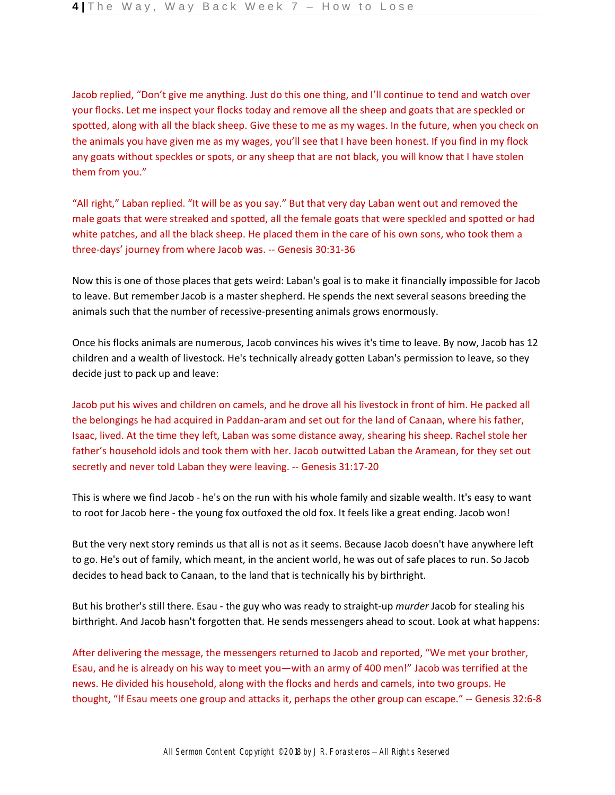Jacob replied, "Don't give me anything. Just do this one thing, and I'll continue to tend and watch over your flocks. Let me inspect your flocks today and remove all the sheep and goats that are speckled or spotted, along with all the black sheep. Give these to me as my wages. In the future, when you check on the animals you have given me as my wages, you'll see that I have been honest. If you find in my flock any goats without speckles or spots, or any sheep that are not black, you will know that I have stolen them from you."

"All right," Laban replied. "It will be as you say." But that very day Laban went out and removed the male goats that were streaked and spotted, all the female goats that were speckled and spotted or had white patches, and all the black sheep. He placed them in the care of his own sons, who took them a three-days' journey from where Jacob was. -- Genesis 30:31-36

Now this is one of those places that gets weird: Laban's goal is to make it financially impossible for Jacob to leave. But remember Jacob is a master shepherd. He spends the next several seasons breeding the animals such that the number of recessive-presenting animals grows enormously.

Once his flocks animals are numerous, Jacob convinces his wives it's time to leave. By now, Jacob has 12 children and a wealth of livestock. He's technically already gotten Laban's permission to leave, so they decide just to pack up and leave:

Jacob put his wives and children on camels, and he drove all his livestock in front of him. He packed all the belongings he had acquired in Paddan-aram and set out for the land of Canaan, where his father, Isaac, lived. At the time they left, Laban was some distance away, shearing his sheep. Rachel stole her father's household idols and took them with her. Jacob outwitted Laban the Aramean, for they set out secretly and never told Laban they were leaving. -- Genesis 31:17-20

This is where we find Jacob - he's on the run with his whole family and sizable wealth. It's easy to want to root for Jacob here - the young fox outfoxed the old fox. It feels like a great ending. Jacob won!

But the very next story reminds us that all is not as it seems. Because Jacob doesn't have anywhere left to go. He's out of family, which meant, in the ancient world, he was out of safe places to run. So Jacob decides to head back to Canaan, to the land that is technically his by birthright.

But his brother's still there. Esau - the guy who was ready to straight-up *murder* Jacob for stealing his birthright. And Jacob hasn't forgotten that. He sends messengers ahead to scout. Look at what happens:

After delivering the message, the messengers returned to Jacob and reported, "We met your brother, Esau, and he is already on his way to meet you—with an army of 400 men!" Jacob was terrified at the news. He divided his household, along with the flocks and herds and camels, into two groups. He thought, "If Esau meets one group and attacks it, perhaps the other group can escape." -- Genesis 32:6-8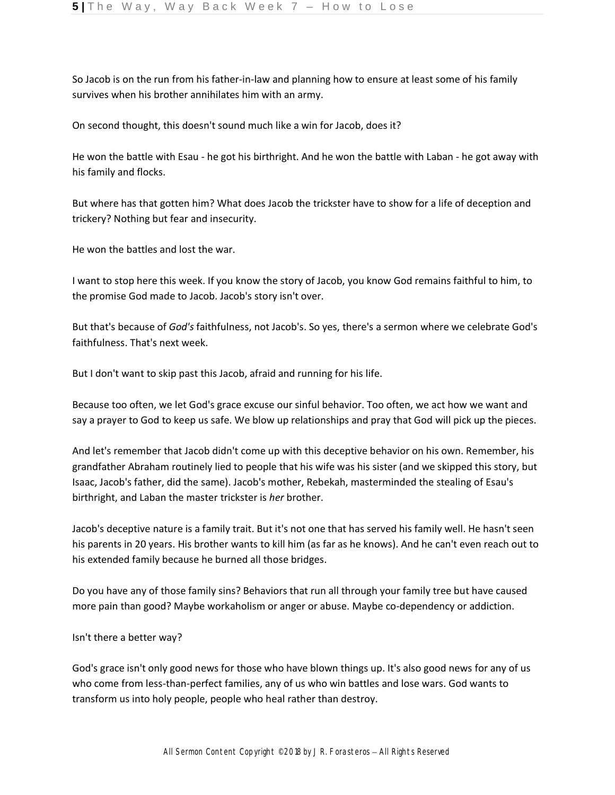So Jacob is on the run from his father-in-law and planning how to ensure at least some of his family survives when his brother annihilates him with an army.

On second thought, this doesn't sound much like a win for Jacob, does it?

He won the battle with Esau - he got his birthright. And he won the battle with Laban - he got away with his family and flocks.

But where has that gotten him? What does Jacob the trickster have to show for a life of deception and trickery? Nothing but fear and insecurity.

He won the battles and lost the war.

I want to stop here this week. If you know the story of Jacob, you know God remains faithful to him, to the promise God made to Jacob. Jacob's story isn't over.

But that's because of *God's* faithfulness, not Jacob's. So yes, there's a sermon where we celebrate God's faithfulness. That's next week.

But I don't want to skip past this Jacob, afraid and running for his life.

Because too often, we let God's grace excuse our sinful behavior. Too often, we act how we want and say a prayer to God to keep us safe. We blow up relationships and pray that God will pick up the pieces.

And let's remember that Jacob didn't come up with this deceptive behavior on his own. Remember, his grandfather Abraham routinely lied to people that his wife was his sister (and we skipped this story, but Isaac, Jacob's father, did the same). Jacob's mother, Rebekah, masterminded the stealing of Esau's birthright, and Laban the master trickster is *her* brother.

Jacob's deceptive nature is a family trait. But it's not one that has served his family well. He hasn't seen his parents in 20 years. His brother wants to kill him (as far as he knows). And he can't even reach out to his extended family because he burned all those bridges.

Do you have any of those family sins? Behaviors that run all through your family tree but have caused more pain than good? Maybe workaholism or anger or abuse. Maybe co-dependency or addiction.

Isn't there a better way?

God's grace isn't only good news for those who have blown things up. It's also good news for any of us who come from less-than-perfect families, any of us who win battles and lose wars. God wants to transform us into holy people, people who heal rather than destroy.